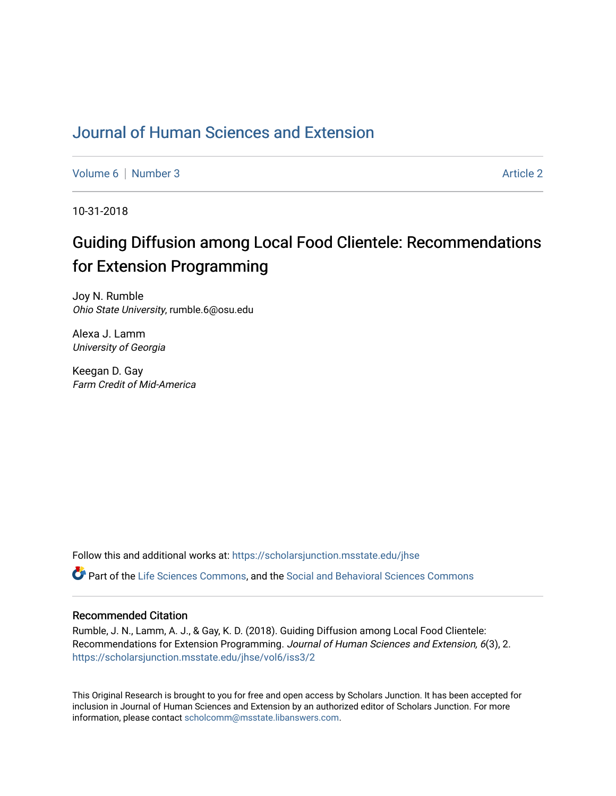# [Journal of Human Sciences and Extension](https://scholarsjunction.msstate.edu/jhse)

[Volume 6](https://scholarsjunction.msstate.edu/jhse/vol6) | [Number 3](https://scholarsjunction.msstate.edu/jhse/vol6/iss3) Article 2

10-31-2018

# Guiding Diffusion among Local Food Clientele: Recommendations for Extension Programming

Joy N. Rumble Ohio State University, rumble.6@osu.edu

Alexa J. Lamm University of Georgia

Keegan D. Gay Farm Credit of Mid-America

Follow this and additional works at: [https://scholarsjunction.msstate.edu/jhse](https://scholarsjunction.msstate.edu/jhse?utm_source=scholarsjunction.msstate.edu%2Fjhse%2Fvol6%2Fiss3%2F2&utm_medium=PDF&utm_campaign=PDFCoverPages)

Part of the [Life Sciences Commons,](http://network.bepress.com/hgg/discipline/1016?utm_source=scholarsjunction.msstate.edu%2Fjhse%2Fvol6%2Fiss3%2F2&utm_medium=PDF&utm_campaign=PDFCoverPages) and the [Social and Behavioral Sciences Commons](http://network.bepress.com/hgg/discipline/316?utm_source=scholarsjunction.msstate.edu%2Fjhse%2Fvol6%2Fiss3%2F2&utm_medium=PDF&utm_campaign=PDFCoverPages)

#### Recommended Citation

Rumble, J. N., Lamm, A. J., & Gay, K. D. (2018). Guiding Diffusion among Local Food Clientele: Recommendations for Extension Programming. Journal of Human Sciences and Extension, 6(3), 2. [https://scholarsjunction.msstate.edu/jhse/vol6/iss3/2](https://scholarsjunction.msstate.edu/jhse/vol6/iss3/2?utm_source=scholarsjunction.msstate.edu%2Fjhse%2Fvol6%2Fiss3%2F2&utm_medium=PDF&utm_campaign=PDFCoverPages)

This Original Research is brought to you for free and open access by Scholars Junction. It has been accepted for inclusion in Journal of Human Sciences and Extension by an authorized editor of Scholars Junction. For more information, please contact [scholcomm@msstate.libanswers.com](mailto:scholcomm@msstate.libanswers.com).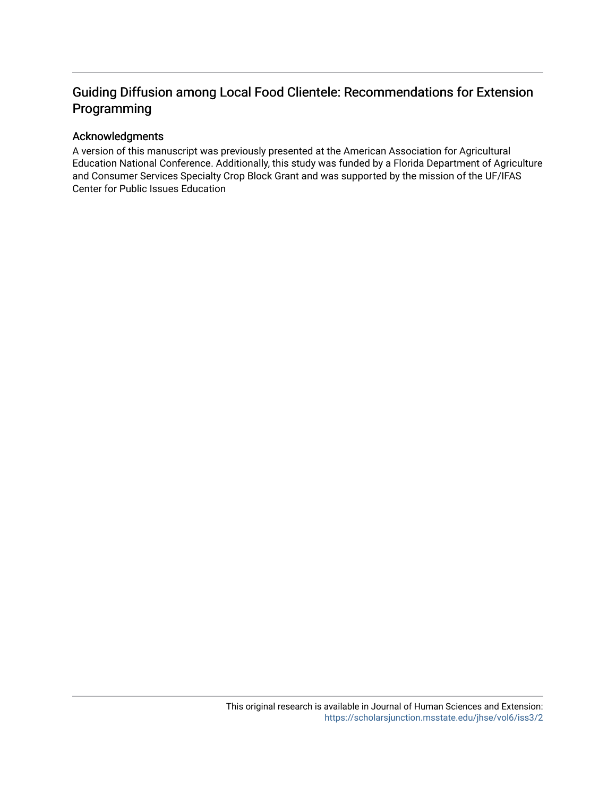# Guiding Diffusion among Local Food Clientele: Recommendations for Extension Programming

#### Acknowledgments

A version of this manuscript was previously presented at the American Association for Agricultural Education National Conference. Additionally, this study was funded by a Florida Department of Agriculture and Consumer Services Specialty Crop Block Grant and was supported by the mission of the UF/IFAS Center for Public Issues Education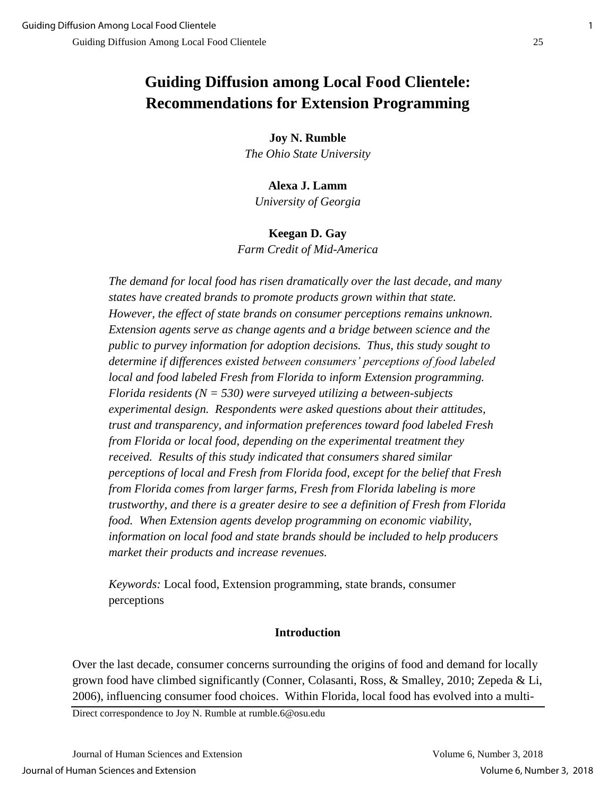# **Guiding Diffusion among Local Food Clientele: Recommendations for Extension Programming**

**Joy N. Rumble**

*The Ohio State University*

# **Alexa J. Lamm**

*University of Georgia*

## **Keegan D. Gay**

*Farm Credit of Mid-America*

*The demand for local food has risen dramatically over the last decade, and many states have created brands to promote products grown within that state. However, the effect of state brands on consumer perceptions remains unknown. Extension agents serve as change agents and a bridge between science and the public to purvey information for adoption decisions. Thus, this study sought to determine if differences existed between consumers' perceptions of food labeled local and food labeled Fresh from Florida to inform Extension programming. Florida residents (N = 530) were surveyed utilizing a between-subjects experimental design. Respondents were asked questions about their attitudes, trust and transparency, and information preferences toward food labeled Fresh from Florida or local food, depending on the experimental treatment they received. Results of this study indicated that consumers shared similar perceptions of local and Fresh from Florida food, except for the belief that Fresh from Florida comes from larger farms, Fresh from Florida labeling is more trustworthy, and there is a greater desire to see a definition of Fresh from Florida food. When Extension agents develop programming on economic viability, information on local food and state brands should be included to help producers market their products and increase revenues.* 

*Keywords:* Local food, Extension programming, state brands, consumer perceptions

# **Introduction**

Over the last decade, consumer concerns surrounding the origins of food and demand for locally grown food have climbed significantly (Conner, Colasanti, Ross, & Smalley, 2010; Zepeda & Li, 2006), influencing consumer food choices. Within Florida, local food has evolved into a multi-

Direct correspondence to Joy N. Rumble at rumble.6@osu.edu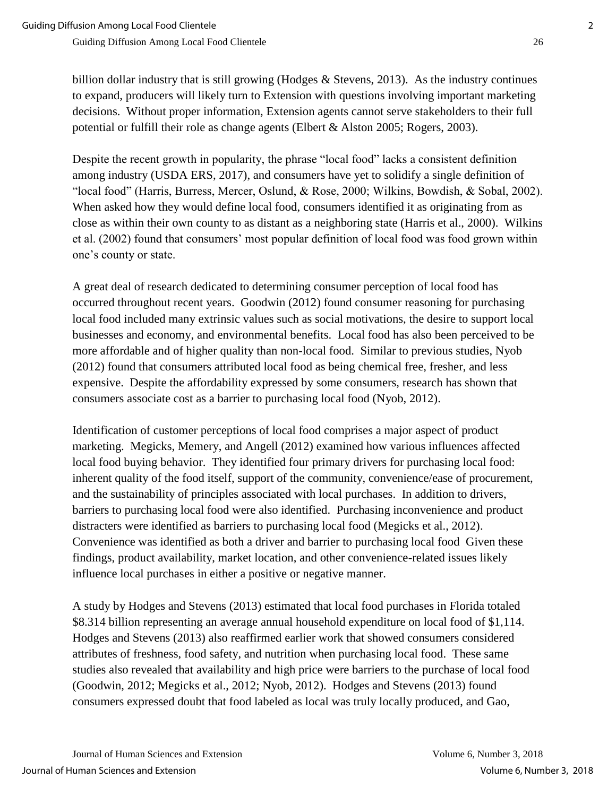billion dollar industry that is still growing (Hodges  $\&$  Stevens, 2013). As the industry continues to expand, producers will likely turn to Extension with questions involving important marketing decisions. Without proper information, Extension agents cannot serve stakeholders to their full

Despite the recent growth in popularity, the phrase "local food" lacks a consistent definition among industry (USDA ERS, 2017), and consumers have yet to solidify a single definition of "local food" (Harris, Burress, Mercer, Oslund, & Rose, 2000; Wilkins, Bowdish, & Sobal, 2002). When asked how they would define local food, consumers identified it as originating from as close as within their own county to as distant as a neighboring state (Harris et al., 2000). Wilkins et al. (2002) found that consumers' most popular definition of local food was food grown within one's county or state.

potential or fulfill their role as change agents (Elbert & Alston 2005; Rogers, 2003).

A great deal of research dedicated to determining consumer perception of local food has occurred throughout recent years. Goodwin (2012) found consumer reasoning for purchasing local food included many extrinsic values such as social motivations, the desire to support local businesses and economy, and environmental benefits. Local food has also been perceived to be more affordable and of higher quality than non-local food. Similar to previous studies, Nyob (2012) found that consumers attributed local food as being chemical free, fresher, and less expensive. Despite the affordability expressed by some consumers, research has shown that consumers associate cost as a barrier to purchasing local food (Nyob, 2012).

Identification of customer perceptions of local food comprises a major aspect of product marketing. Megicks, Memery, and Angell (2012) examined how various influences affected local food buying behavior. They identified four primary drivers for purchasing local food: inherent quality of the food itself, support of the community, convenience/ease of procurement, and the sustainability of principles associated with local purchases. In addition to drivers, barriers to purchasing local food were also identified. Purchasing inconvenience and product distracters were identified as barriers to purchasing local food (Megicks et al., 2012). Convenience was identified as both a driver and barrier to purchasing local food Given these findings, product availability, market location, and other convenience-related issues likely influence local purchases in either a positive or negative manner.

A study by Hodges and Stevens (2013) estimated that local food purchases in Florida totaled \$8.314 billion representing an average annual household expenditure on local food of \$1,114. Hodges and Stevens (2013) also reaffirmed earlier work that showed consumers considered attributes of freshness, food safety, and nutrition when purchasing local food. These same studies also revealed that availability and high price were barriers to the purchase of local food (Goodwin, 2012; Megicks et al., 2012; Nyob, 2012). Hodges and Stevens (2013) found consumers expressed doubt that food labeled as local was truly locally produced, and Gao,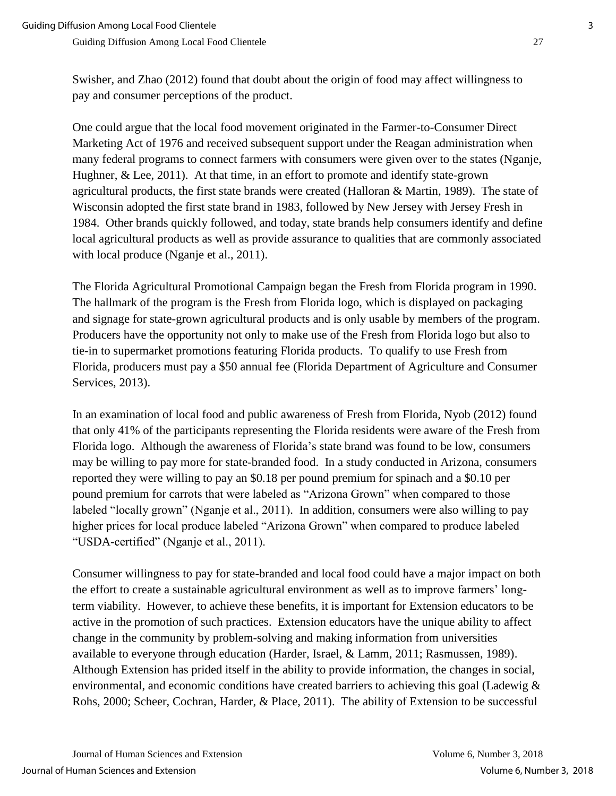Swisher, and Zhao (2012) found that doubt about the origin of food may affect willingness to pay and consumer perceptions of the product.

One could argue that the local food movement originated in the Farmer-to-Consumer Direct Marketing Act of 1976 and received subsequent support under the Reagan administration when many federal programs to connect farmers with consumers were given over to the states (Nganje, Hughner, & Lee, 2011). At that time, in an effort to promote and identify state-grown agricultural products, the first state brands were created (Halloran & Martin, 1989). The state of Wisconsin adopted the first state brand in 1983, followed by New Jersey with Jersey Fresh in 1984. Other brands quickly followed, and today, state brands help consumers identify and define local agricultural products as well as provide assurance to qualities that are commonly associated with local produce (Nganje et al., 2011).

The Florida Agricultural Promotional Campaign began the Fresh from Florida program in 1990. The hallmark of the program is the Fresh from Florida logo, which is displayed on packaging and signage for state-grown agricultural products and is only usable by members of the program. Producers have the opportunity not only to make use of the Fresh from Florida logo but also to tie-in to supermarket promotions featuring Florida products. To qualify to use Fresh from Florida, producers must pay a \$50 annual fee (Florida Department of Agriculture and Consumer Services, 2013).

In an examination of local food and public awareness of Fresh from Florida, Nyob (2012) found that only 41% of the participants representing the Florida residents were aware of the Fresh from Florida logo. Although the awareness of Florida's state brand was found to be low, consumers may be willing to pay more for state-branded food. In a study conducted in Arizona, consumers reported they were willing to pay an \$0.18 per pound premium for spinach and a \$0.10 per pound premium for carrots that were labeled as "Arizona Grown" when compared to those labeled "locally grown" (Nganje et al., 2011). In addition, consumers were also willing to pay higher prices for local produce labeled "Arizona Grown" when compared to produce labeled "USDA-certified" (Nganje et al., 2011).

Consumer willingness to pay for state-branded and local food could have a major impact on both the effort to create a sustainable agricultural environment as well as to improve farmers' longterm viability. However, to achieve these benefits, it is important for Extension educators to be active in the promotion of such practices. Extension educators have the unique ability to affect change in the community by problem-solving and making information from universities available to everyone through education (Harder, Israel, & Lamm, 2011; Rasmussen, 1989). Although Extension has prided itself in the ability to provide information, the changes in social, environmental, and economic conditions have created barriers to achieving this goal (Ladewig & Rohs, 2000; Scheer, Cochran, Harder, & Place, 2011). The ability of Extension to be successful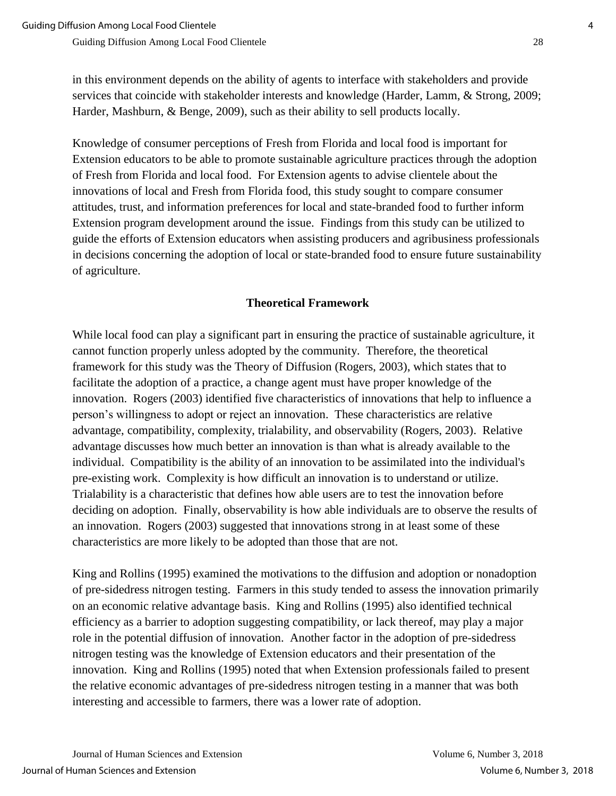in this environment depends on the ability of agents to interface with stakeholders and provide services that coincide with stakeholder interests and knowledge (Harder, Lamm, & Strong, 2009; Harder, Mashburn, & Benge, 2009), such as their ability to sell products locally.

Knowledge of consumer perceptions of Fresh from Florida and local food is important for Extension educators to be able to promote sustainable agriculture practices through the adoption of Fresh from Florida and local food. For Extension agents to advise clientele about the innovations of local and Fresh from Florida food, this study sought to compare consumer attitudes, trust, and information preferences for local and state-branded food to further inform Extension program development around the issue. Findings from this study can be utilized to guide the efforts of Extension educators when assisting producers and agribusiness professionals in decisions concerning the adoption of local or state-branded food to ensure future sustainability of agriculture.

## **Theoretical Framework**

While local food can play a significant part in ensuring the practice of sustainable agriculture, it cannot function properly unless adopted by the community. Therefore, the theoretical framework for this study was the Theory of Diffusion (Rogers, 2003), which states that to facilitate the adoption of a practice, a change agent must have proper knowledge of the innovation. Rogers (2003) identified five characteristics of innovations that help to influence a person's willingness to adopt or reject an innovation. These characteristics are relative advantage, compatibility, complexity, trialability, and observability (Rogers, 2003). Relative advantage discusses how much better an innovation is than what is already available to the individual. Compatibility is the ability of an innovation to be assimilated into the individual's pre-existing work. Complexity is how difficult an innovation is to understand or utilize. Trialability is a characteristic that defines how able users are to test the innovation before deciding on adoption. Finally, observability is how able individuals are to observe the results of an innovation. Rogers (2003) suggested that innovations strong in at least some of these characteristics are more likely to be adopted than those that are not.

King and Rollins (1995) examined the motivations to the diffusion and adoption or nonadoption of pre-sidedress nitrogen testing. Farmers in this study tended to assess the innovation primarily on an economic relative advantage basis. King and Rollins (1995) also identified technical efficiency as a barrier to adoption suggesting compatibility, or lack thereof, may play a major role in the potential diffusion of innovation. Another factor in the adoption of pre-sidedress nitrogen testing was the knowledge of Extension educators and their presentation of the innovation. King and Rollins (1995) noted that when Extension professionals failed to present the relative economic advantages of pre-sidedress nitrogen testing in a manner that was both interesting and accessible to farmers, there was a lower rate of adoption.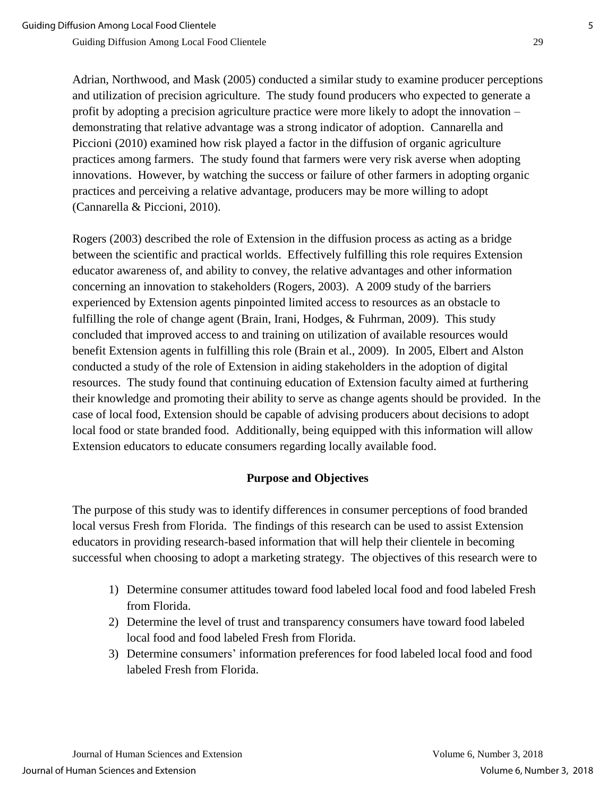Adrian, Northwood, and Mask (2005) conducted a similar study to examine producer perceptions and utilization of precision agriculture. The study found producers who expected to generate a profit by adopting a precision agriculture practice were more likely to adopt the innovation – demonstrating that relative advantage was a strong indicator of adoption. Cannarella and Piccioni (2010) examined how risk played a factor in the diffusion of organic agriculture practices among farmers. The study found that farmers were very risk averse when adopting innovations. However, by watching the success or failure of other farmers in adopting organic practices and perceiving a relative advantage, producers may be more willing to adopt (Cannarella & Piccioni, 2010).

Rogers (2003) described the role of Extension in the diffusion process as acting as a bridge between the scientific and practical worlds. Effectively fulfilling this role requires Extension educator awareness of, and ability to convey, the relative advantages and other information concerning an innovation to stakeholders (Rogers, 2003). A 2009 study of the barriers experienced by Extension agents pinpointed limited access to resources as an obstacle to fulfilling the role of change agent (Brain, Irani, Hodges, & Fuhrman, 2009). This study concluded that improved access to and training on utilization of available resources would benefit Extension agents in fulfilling this role (Brain et al., 2009). In 2005, Elbert and Alston conducted a study of the role of Extension in aiding stakeholders in the adoption of digital resources. The study found that continuing education of Extension faculty aimed at furthering their knowledge and promoting their ability to serve as change agents should be provided. In the case of local food, Extension should be capable of advising producers about decisions to adopt local food or state branded food. Additionally, being equipped with this information will allow Extension educators to educate consumers regarding locally available food.

#### **Purpose and Objectives**

The purpose of this study was to identify differences in consumer perceptions of food branded local versus Fresh from Florida. The findings of this research can be used to assist Extension educators in providing research-based information that will help their clientele in becoming successful when choosing to adopt a marketing strategy. The objectives of this research were to

- 1) Determine consumer attitudes toward food labeled local food and food labeled Fresh from Florida.
- 2) Determine the level of trust and transparency consumers have toward food labeled local food and food labeled Fresh from Florida.
- 3) Determine consumers' information preferences for food labeled local food and food labeled Fresh from Florida.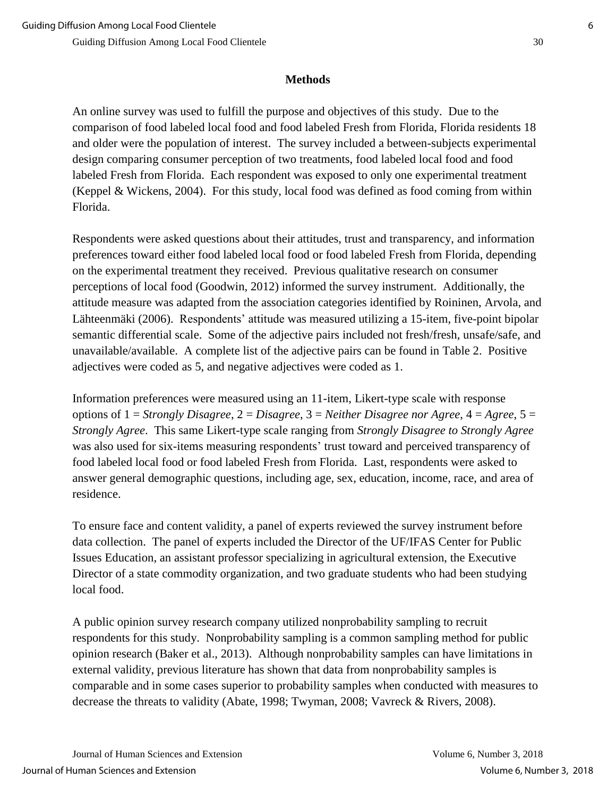#### **Methods**

An online survey was used to fulfill the purpose and objectives of this study. Due to the comparison of food labeled local food and food labeled Fresh from Florida, Florida residents 18 and older were the population of interest. The survey included a between-subjects experimental design comparing consumer perception of two treatments, food labeled local food and food labeled Fresh from Florida. Each respondent was exposed to only one experimental treatment (Keppel & Wickens, 2004). For this study, local food was defined as food coming from within Florida.

Respondents were asked questions about their attitudes, trust and transparency, and information preferences toward either food labeled local food or food labeled Fresh from Florida, depending on the experimental treatment they received. Previous qualitative research on consumer perceptions of local food (Goodwin, 2012) informed the survey instrument. Additionally, the attitude measure was adapted from the association categories identified by Roininen, Arvola, and Lähteenmäki (2006). Respondents' attitude was measured utilizing a 15-item, five-point bipolar semantic differential scale. Some of the adjective pairs included not fresh/fresh, unsafe/safe, and unavailable/available. A complete list of the adjective pairs can be found in Table 2. Positive adjectives were coded as 5, and negative adjectives were coded as 1.

Information preferences were measured using an 11-item, Likert-type scale with response options of 1 = *Strongly Disagree*, 2 = *Disagree*, 3 = *Neither Disagree nor Agree*, 4 = *Agree*, 5 = *Strongly Agree*. This same Likert-type scale ranging from *Strongly Disagree to Strongly Agree* was also used for six-items measuring respondents' trust toward and perceived transparency of food labeled local food or food labeled Fresh from Florida. Last, respondents were asked to answer general demographic questions, including age, sex, education, income, race, and area of residence.

To ensure face and content validity, a panel of experts reviewed the survey instrument before data collection. The panel of experts included the Director of the UF/IFAS Center for Public Issues Education, an assistant professor specializing in agricultural extension, the Executive Director of a state commodity organization, and two graduate students who had been studying local food.

A public opinion survey research company utilized nonprobability sampling to recruit respondents for this study. Nonprobability sampling is a common sampling method for public opinion research (Baker et al., 2013). Although nonprobability samples can have limitations in external validity, previous literature has shown that data from nonprobability samples is comparable and in some cases superior to probability samples when conducted with measures to decrease the threats to validity (Abate, 1998; Twyman, 2008; Vavreck & Rivers, 2008).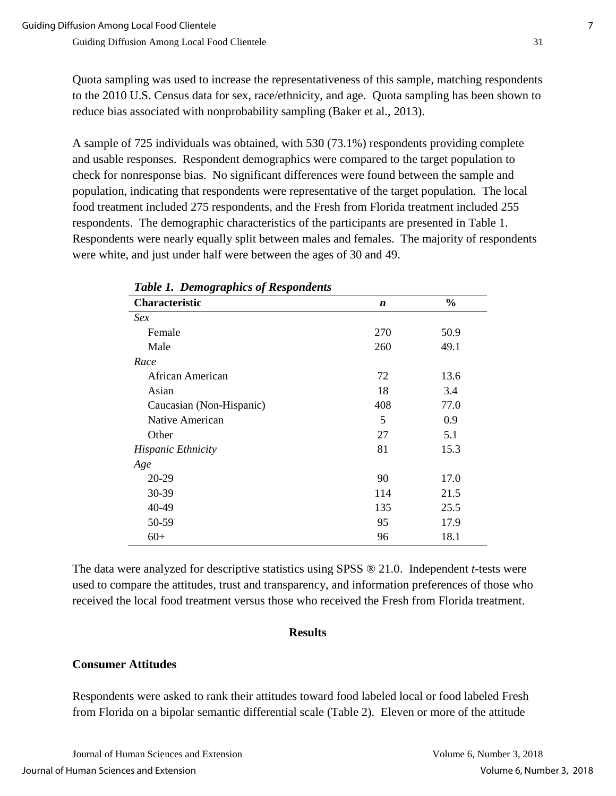Quota sampling was used to increase the representativeness of this sample, matching respondents to the 2010 U.S. Census data for sex, race/ethnicity, and age. Quota sampling has been shown to reduce bias associated with nonprobability sampling (Baker et al., 2013).

A sample of 725 individuals was obtained, with 530 (73.1%) respondents providing complete and usable responses. Respondent demographics were compared to the target population to check for nonresponse bias. No significant differences were found between the sample and population, indicating that respondents were representative of the target population. The local food treatment included 275 respondents, and the Fresh from Florida treatment included 255 respondents. The demographic characteristics of the participants are presented in Table 1. Respondents were nearly equally split between males and females. The majority of respondents were white, and just under half were between the ages of 30 and 49.

| Twee 1. Benegraphies of Icespondences |     |               |
|---------------------------------------|-----|---------------|
| Characteristic                        | n   | $\frac{0}{0}$ |
| <i>Sex</i>                            |     |               |
| Female                                | 270 | 50.9          |
| Male                                  | 260 | 49.1          |
| Race                                  |     |               |
| African American                      | 72  | 13.6          |
| Asian                                 | 18  | 3.4           |
| Caucasian (Non-Hispanic)              | 408 | 77.0          |
| Native American                       | 5   | 0.9           |
| Other                                 | 27  | 5.1           |
| <b>Hispanic Ethnicity</b>             | 81  | 15.3          |
| Age                                   |     |               |
| 20-29                                 | 90  | 17.0          |
| 30-39                                 | 114 | 21.5          |
| 40-49                                 | 135 | 25.5          |
| 50-59                                 | 95  | 17.9          |
| $60+$                                 | 96  | 18.1          |

*Table 1. Demographics of Respondents*

The data were analyzed for descriptive statistics using SPSS ® 21.0. Independent *t*-tests were used to compare the attitudes, trust and transparency, and information preferences of those who received the local food treatment versus those who received the Fresh from Florida treatment.

#### **Results**

#### **Consumer Attitudes**

Respondents were asked to rank their attitudes toward food labeled local or food labeled Fresh from Florida on a bipolar semantic differential scale (Table 2). Eleven or more of the attitude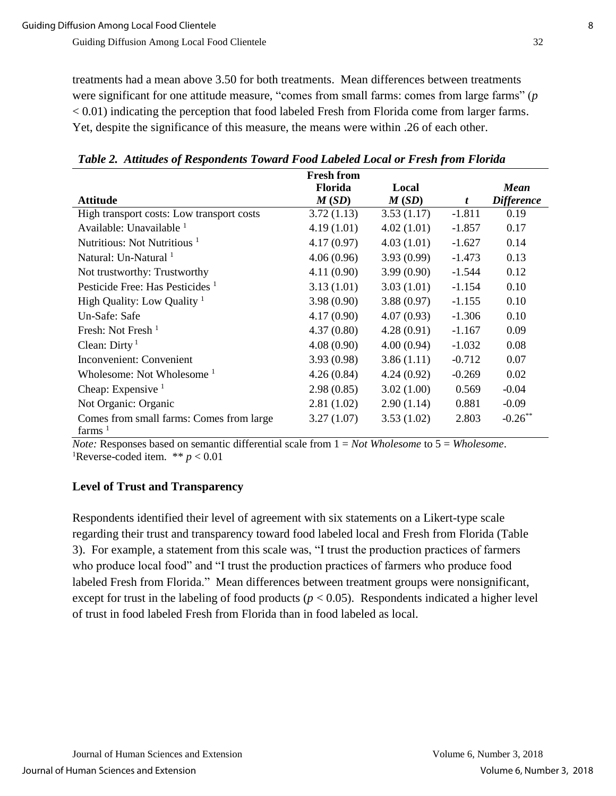treatments had a mean above 3.50 for both treatments. Mean differences between treatments were significant for one attitude measure, "comes from small farms: comes from large farms" (*p* < 0.01) indicating the perception that food labeled Fresh from Florida come from larger farms. Yet, despite the significance of this measure, the means were within .26 of each other.

|                                             | <b>Fresh from</b> |            |              |                   |
|---------------------------------------------|-------------------|------------|--------------|-------------------|
|                                             | Florida           | Local      |              | <b>Mean</b>       |
| <b>Attitude</b>                             | M(SD)             | M(SD)      | $\mathbf{f}$ | <b>Difference</b> |
| High transport costs: Low transport costs   | 3.72(1.13)        | 3.53(1.17) | $-1.811$     | 0.19              |
| Available: Unavailable 1                    | 4.19(1.01)        | 4.02(1.01) | $-1.857$     | 0.17              |
| Nutritious: Not Nutritious <sup>1</sup>     | 4.17(0.97)        | 4.03(1.01) | $-1.627$     | 0.14              |
| Natural: Un-Natural 1                       | 4.06(0.96)        | 3.93(0.99) | $-1.473$     | 0.13              |
| Not trustworthy: Trustworthy                | 4.11(0.90)        | 3.99(0.90) | $-1.544$     | 0.12              |
| Pesticide Free: Has Pesticides <sup>1</sup> | 3.13(1.01)        | 3.03(1.01) | $-1.154$     | 0.10              |
| High Quality: Low Quality $1$               | 3.98(0.90)        | 3.88(0.97) | $-1.155$     | 0.10              |
| Un-Safe: Safe                               | 4.17(0.90)        | 4.07(0.93) | $-1.306$     | 0.10              |
| Fresh: Not Fresh <sup>1</sup>               | 4.37(0.80)        | 4.28(0.91) | $-1.167$     | 0.09              |
| Clean: $Dirty1$                             | 4.08(0.90)        | 4.00(0.94) | $-1.032$     | 0.08              |
| Inconvenient: Convenient                    | 3.93(0.98)        | 3.86(1.11) | $-0.712$     | 0.07              |
| Wholesome: Not Wholesome <sup>1</sup>       | 4.26(0.84)        | 4.24(0.92) | $-0.269$     | 0.02              |
| Cheap: Expensive $1$                        | 2.98(0.85)        | 3.02(1.00) | 0.569        | $-0.04$           |
| Not Organic: Organic                        | 2.81(1.02)        | 2.90(1.14) | 0.881        | $-0.09$           |
| Comes from small farms: Comes from large    | 3.27(1.07)        | 3.53(1.02) | 2.803        | $-0.26$ **        |
| farms $1$                                   |                   |            |              |                   |

*Table 2. Attitudes of Respondents Toward Food Labeled Local or Fresh from Florida*

*Note:* Responses based on semantic differential scale from 1 = *Not Wholesome* to 5 = *Wholesome*. <sup>1</sup>Reverse-coded item. \*\*  $p < 0.01$ 

#### **Level of Trust and Transparency**

Respondents identified their level of agreement with six statements on a Likert-type scale regarding their trust and transparency toward food labeled local and Fresh from Florida (Table 3). For example, a statement from this scale was, "I trust the production practices of farmers who produce local food" and "I trust the production practices of farmers who produce food labeled Fresh from Florida." Mean differences between treatment groups were nonsignificant, except for trust in the labeling of food products ( $p < 0.05$ ). Respondents indicated a higher level of trust in food labeled Fresh from Florida than in food labeled as local.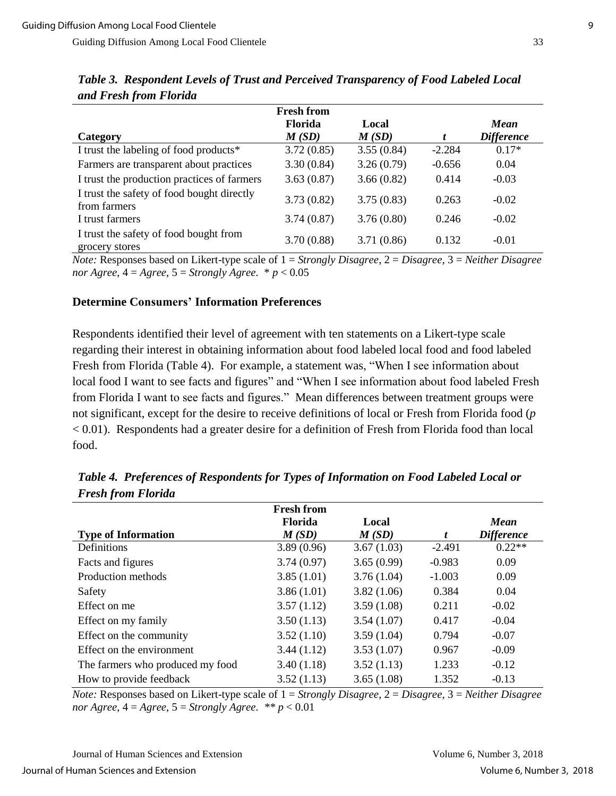|                                                            | <b>Fresh from</b>       |                |          |                                  |
|------------------------------------------------------------|-------------------------|----------------|----------|----------------------------------|
| Category                                                   | <b>Florida</b><br>M(SD) | Local<br>M(SD) |          | <b>Mean</b><br><b>Difference</b> |
| I trust the labeling of food products*                     | 3.72(0.85)              | 3.55(0.84)     | $-2.284$ | $0.17*$                          |
| Farmers are transparent about practices                    | 3.30(0.84)              | 3.26(0.79)     | $-0.656$ | 0.04                             |
| I trust the production practices of farmers                | 3.63(0.87)              | 3.66(0.82)     | 0.414    | $-0.03$                          |
| I trust the safety of food bought directly<br>from farmers | 3.73(0.82)              | 3.75(0.83)     | 0.263    | $-0.02$                          |
| I trust farmers                                            | 3.74(0.87)              | 3.76(0.80)     | 0.246    | $-0.02$                          |
| I trust the safety of food bought from<br>grocery stores   | 3.70(0.88)              | 3.71(0.86)     | 0.132    | $-0.01$                          |

*Table 3. Respondent Levels of Trust and Perceived Transparency of Food Labeled Local and Fresh from Florida*

*Note:* Responses based on Likert-type scale of 1 = *Strongly Disagree*, 2 = *Disagree*, 3 = *Neither Disagree nor Agree,*  $4 = \text{Agree}, 5 = \text{Strongly Agree}.$   $* p < 0.05$ 

#### **Determine Consumers' Information Preferences**

Respondents identified their level of agreement with ten statements on a Likert-type scale regarding their interest in obtaining information about food labeled local food and food labeled Fresh from Florida (Table 4). For example, a statement was, "When I see information about local food I want to see facts and figures" and "When I see information about food labeled Fresh from Florida I want to see facts and figures." Mean differences between treatment groups were not significant, except for the desire to receive definitions of local or Fresh from Florida food (*p* < 0.01). Respondents had a greater desire for a definition of Fresh from Florida food than local food.

| $\cdot$                          |                   |            |          |                   |
|----------------------------------|-------------------|------------|----------|-------------------|
|                                  | <b>Fresh from</b> |            |          |                   |
|                                  | <b>Florida</b>    | Local      |          | <b>Mean</b>       |
| <b>Type of Information</b>       | M(SD)             | M(SD)      | t        | <b>Difference</b> |
| Definitions                      | 3.89(0.96)        | 3.67(1.03) | $-2.491$ | $0.22**$          |
| Facts and figures                | 3.74(0.97)        | 3.65(0.99) | $-0.983$ | 0.09              |
| Production methods               | 3.85(1.01)        | 3.76(1.04) | $-1.003$ | 0.09              |
| Safety                           | 3.86(1.01)        | 3.82(1.06) | 0.384    | 0.04              |
| Effect on me                     | 3.57(1.12)        | 3.59(1.08) | 0.211    | $-0.02$           |
| Effect on my family              | 3.50(1.13)        | 3.54(1.07) | 0.417    | $-0.04$           |
| Effect on the community          | 3.52(1.10)        | 3.59(1.04) | 0.794    | $-0.07$           |
| Effect on the environment        | 3.44(1.12)        | 3.53(1.07) | 0.967    | $-0.09$           |
| The farmers who produced my food | 3.40(1.18)        | 3.52(1.13) | 1.233    | $-0.12$           |
| How to provide feedback          | 3.52(1.13)        | 3.65(1.08) | 1.352    | $-0.13$           |

*Table 4. Preferences of Respondents for Types of Information on Food Labeled Local or Fresh from Florida*

*Note:* Responses based on Likert-type scale of 1 = *Strongly Disagree*, 2 = *Disagree*, 3 = *Neither Disagree nor Agree*,  $4 = \text{Agree}$ ,  $5 = \text{Strongly Agree}$ . \*\*  $p < 0.01$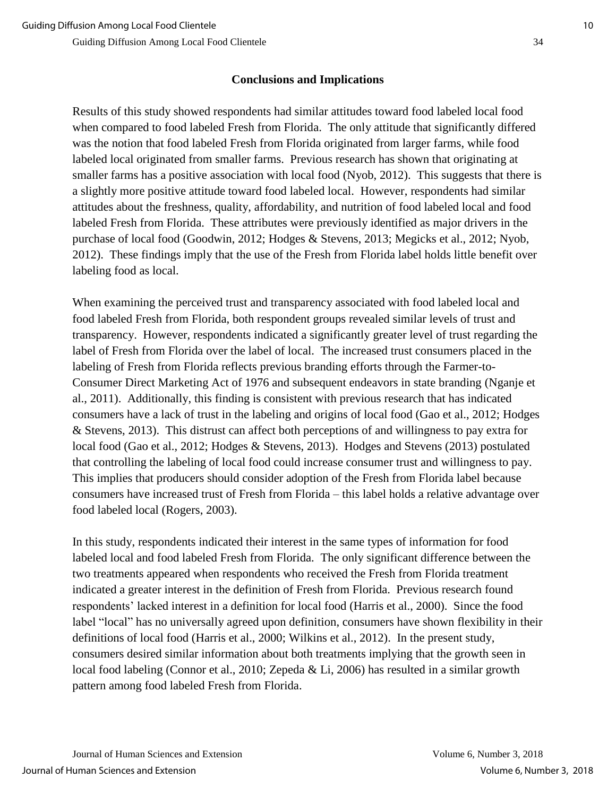## **Conclusions and Implications**

Results of this study showed respondents had similar attitudes toward food labeled local food when compared to food labeled Fresh from Florida. The only attitude that significantly differed was the notion that food labeled Fresh from Florida originated from larger farms, while food labeled local originated from smaller farms. Previous research has shown that originating at smaller farms has a positive association with local food (Nyob, 2012). This suggests that there is a slightly more positive attitude toward food labeled local. However, respondents had similar attitudes about the freshness, quality, affordability, and nutrition of food labeled local and food labeled Fresh from Florida. These attributes were previously identified as major drivers in the purchase of local food (Goodwin, 2012; Hodges & Stevens, 2013; Megicks et al., 2012; Nyob, 2012). These findings imply that the use of the Fresh from Florida label holds little benefit over labeling food as local.

When examining the perceived trust and transparency associated with food labeled local and food labeled Fresh from Florida, both respondent groups revealed similar levels of trust and transparency. However, respondents indicated a significantly greater level of trust regarding the label of Fresh from Florida over the label of local. The increased trust consumers placed in the labeling of Fresh from Florida reflects previous branding efforts through the Farmer-to-Consumer Direct Marketing Act of 1976 and subsequent endeavors in state branding (Nganje et al., 2011). Additionally, this finding is consistent with previous research that has indicated consumers have a lack of trust in the labeling and origins of local food (Gao et al., 2012; Hodges & Stevens, 2013). This distrust can affect both perceptions of and willingness to pay extra for local food (Gao et al., 2012; Hodges & Stevens, 2013). Hodges and Stevens (2013) postulated that controlling the labeling of local food could increase consumer trust and willingness to pay. This implies that producers should consider adoption of the Fresh from Florida label because consumers have increased trust of Fresh from Florida – this label holds a relative advantage over food labeled local (Rogers, 2003).

In this study, respondents indicated their interest in the same types of information for food labeled local and food labeled Fresh from Florida. The only significant difference between the two treatments appeared when respondents who received the Fresh from Florida treatment indicated a greater interest in the definition of Fresh from Florida. Previous research found respondents' lacked interest in a definition for local food (Harris et al., 2000). Since the food label "local" has no universally agreed upon definition, consumers have shown flexibility in their definitions of local food (Harris et al., 2000; Wilkins et al., 2012). In the present study, consumers desired similar information about both treatments implying that the growth seen in local food labeling (Connor et al., 2010; Zepeda & Li, 2006) has resulted in a similar growth pattern among food labeled Fresh from Florida.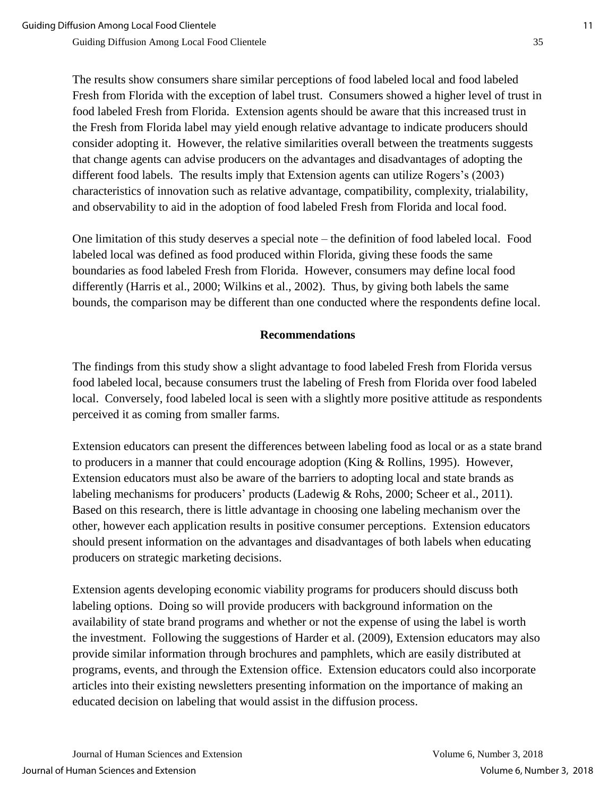The results show consumers share similar perceptions of food labeled local and food labeled Fresh from Florida with the exception of label trust. Consumers showed a higher level of trust in food labeled Fresh from Florida. Extension agents should be aware that this increased trust in the Fresh from Florida label may yield enough relative advantage to indicate producers should consider adopting it. However, the relative similarities overall between the treatments suggests that change agents can advise producers on the advantages and disadvantages of adopting the different food labels. The results imply that Extension agents can utilize Rogers's (2003) characteristics of innovation such as relative advantage, compatibility, complexity, trialability, and observability to aid in the adoption of food labeled Fresh from Florida and local food.

One limitation of this study deserves a special note – the definition of food labeled local. Food labeled local was defined as food produced within Florida, giving these foods the same boundaries as food labeled Fresh from Florida. However, consumers may define local food differently (Harris et al., 2000; Wilkins et al., 2002). Thus, by giving both labels the same bounds, the comparison may be different than one conducted where the respondents define local.

#### **Recommendations**

The findings from this study show a slight advantage to food labeled Fresh from Florida versus food labeled local, because consumers trust the labeling of Fresh from Florida over food labeled local. Conversely, food labeled local is seen with a slightly more positive attitude as respondents perceived it as coming from smaller farms.

Extension educators can present the differences between labeling food as local or as a state brand to producers in a manner that could encourage adoption (King & Rollins, 1995). However, Extension educators must also be aware of the barriers to adopting local and state brands as labeling mechanisms for producers' products (Ladewig & Rohs, 2000; Scheer et al., 2011). Based on this research, there is little advantage in choosing one labeling mechanism over the other, however each application results in positive consumer perceptions. Extension educators should present information on the advantages and disadvantages of both labels when educating producers on strategic marketing decisions.

Extension agents developing economic viability programs for producers should discuss both labeling options. Doing so will provide producers with background information on the availability of state brand programs and whether or not the expense of using the label is worth the investment. Following the suggestions of Harder et al. (2009), Extension educators may also provide similar information through brochures and pamphlets, which are easily distributed at programs, events, and through the Extension office. Extension educators could also incorporate articles into their existing newsletters presenting information on the importance of making an educated decision on labeling that would assist in the diffusion process.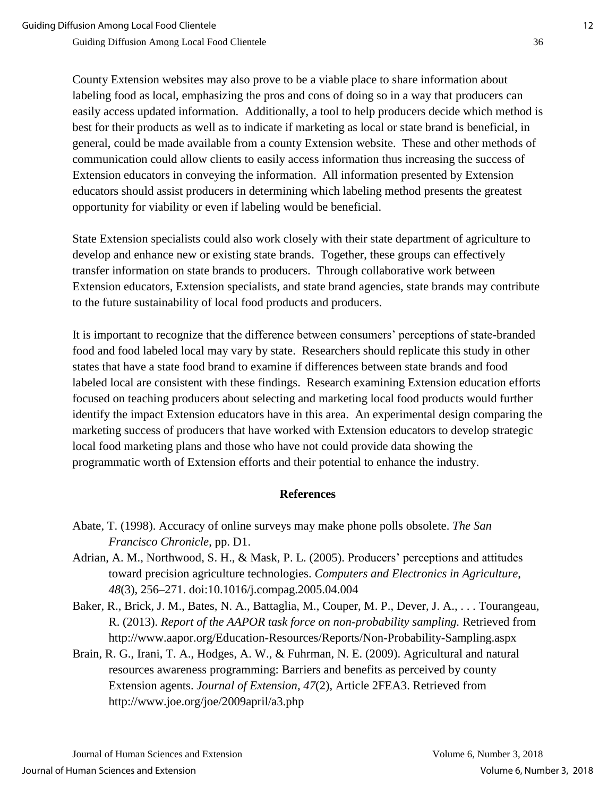County Extension websites may also prove to be a viable place to share information about labeling food as local, emphasizing the pros and cons of doing so in a way that producers can easily access updated information. Additionally, a tool to help producers decide which method is best for their products as well as to indicate if marketing as local or state brand is beneficial, in general, could be made available from a county Extension website. These and other methods of communication could allow clients to easily access information thus increasing the success of Extension educators in conveying the information. All information presented by Extension educators should assist producers in determining which labeling method presents the greatest opportunity for viability or even if labeling would be beneficial.

State Extension specialists could also work closely with their state department of agriculture to develop and enhance new or existing state brands. Together, these groups can effectively transfer information on state brands to producers. Through collaborative work between Extension educators, Extension specialists, and state brand agencies, state brands may contribute to the future sustainability of local food products and producers.

It is important to recognize that the difference between consumers' perceptions of state-branded food and food labeled local may vary by state. Researchers should replicate this study in other states that have a state food brand to examine if differences between state brands and food labeled local are consistent with these findings. Research examining Extension education efforts focused on teaching producers about selecting and marketing local food products would further identify the impact Extension educators have in this area. An experimental design comparing the marketing success of producers that have worked with Extension educators to develop strategic local food marketing plans and those who have not could provide data showing the programmatic worth of Extension efforts and their potential to enhance the industry.

#### **References**

- Abate, T. (1998). Accuracy of online surveys may make phone polls obsolete. *The San Francisco Chronicle*, pp. D1.
- Adrian, A. M., Northwood, S. H., & Mask, P. L. (2005). Producers' perceptions and attitudes toward precision agriculture technologies. *Computers and Electronics in Agriculture*, *48*(3), 256–271. doi:10.1016/j.compag.2005.04.004
- Baker, R., Brick, J. M., Bates, N. A., Battaglia, M., Couper, M. P., Dever, J. A., . . . Tourangeau, R. (2013). *Report of the AAPOR task force on non-probability sampling.* Retrieved from http://www.aapor.org/Education-Resources/Reports/Non-Probability-Sampling.aspx
- Brain, R. G., Irani, T. A., Hodges, A. W., & Fuhrman, N. E. (2009). Agricultural and natural resources awareness programming: Barriers and benefits as perceived by county Extension agents. *Journal of Extension, 47*(2), Article 2FEA3. Retrieved from http://www.joe.org/joe/2009april/a3.php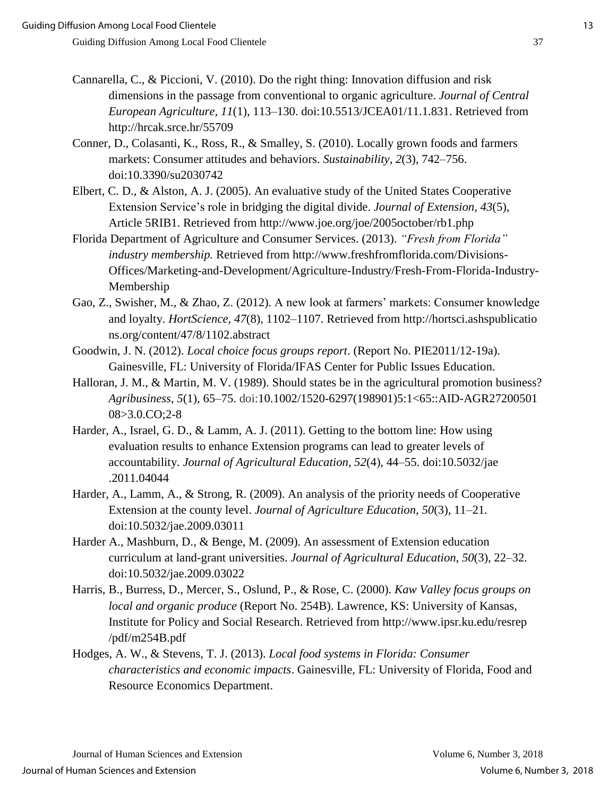- Cannarella, C., & Piccioni, V. (2010). Do the right thing: Innovation diffusion and risk dimensions in the passage from conventional to organic agriculture. *Journal of Central European Agriculture, 11*(1), 113–130. doi:10.5513/JCEA01/11.1.831. Retrieved from http://hrcak.srce.hr/55709
- Conner, D., Colasanti, K., Ross, R., & Smalley, S. (2010). Locally grown foods and farmers markets: Consumer attitudes and behaviors. *Sustainability*, *2*(3), 742–756. doi:10.3390/su2030742
- Elbert, C. D., & Alston, A. J. (2005). An evaluative study of the United States Cooperative Extension Service's role in bridging the digital divide. *Journal of Extension, 43*(5), Article 5RIB1. Retrieved from http://www.joe.org/joe/2005october/rb1.php
- Florida Department of Agriculture and Consumer Services. (2013). *"Fresh from Florida" industry membership.* Retrieved from http://www.freshfromflorida.com/Divisions-Offices/Marketing-and-Development/Agriculture-Industry/Fresh-From-Florida-Industry-Membership
- Gao, Z., Swisher, M., & Zhao, Z. (2012). A new look at farmers' markets: Consumer knowledge and loyalty. *HortScience, 47*(8), 1102–1107. Retrieved from http://hortsci.ashspublicatio ns.org/content/47/8/1102.abstract
- Goodwin, J. N. (2012). *Local choice focus groups report*. (Report No. PIE2011/12-19a). Gainesville, FL: University of Florida/IFAS Center for Public Issues Education.
- Halloran, J. M., & Martin, M. V. (1989). Should states be in the agricultural promotion business? *Agribusiness*, *5*(1), 65–75. doi:10.1002/1520-6297(198901)5:1<65::AID-AGR27200501 08>3.0.CO;2-8
- Harder, A., Israel, G. D., & Lamm, A. J. (2011). Getting to the bottom line: How using evaluation results to enhance Extension programs can lead to greater levels of accountability. *Journal of Agricultural Education, 52*(4), 44–55. doi:10.5032/jae .2011.04044
- Harder, A., Lamm, A., & Strong, R. (2009). An analysis of the priority needs of Cooperative Extension at the county level. *Journal of Agriculture Education, 50*(3), 11–21. doi:10.5032/jae.2009.03011
- Harder A., Mashburn, D., & Benge, M. (2009). An assessment of Extension education curriculum at land-grant universities. *Journal of Agricultural Education, 50*(3), 22–32. doi:10.5032/jae.2009.03022
- Harris, B., Burress, D., Mercer, S., Oslund, P., & Rose, C. (2000). *Kaw Valley focus groups on local and organic produce* (Report No. 254B). Lawrence, KS: University of Kansas, Institute for Policy and Social Research. Retrieved from http://www.ipsr.ku.edu/resrep /pdf/m254B.pdf
- Hodges, A. W., & Stevens, T. J. (2013). *Local food systems in Florida: Consumer characteristics and economic impacts*. Gainesville, FL: University of Florida, Food and Resource Economics Department.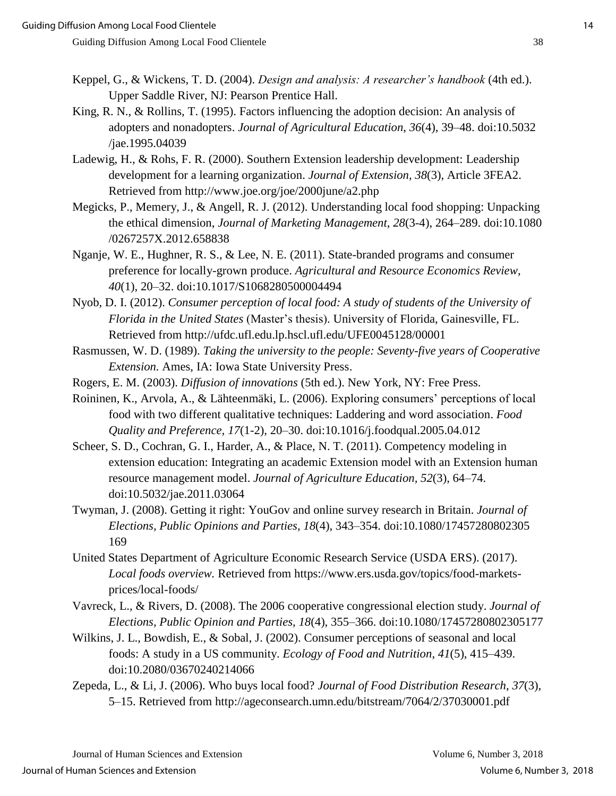- Keppel, G., & Wickens, T. D. (2004). *Design and analysis: A researcher's handbook* (4th ed.). Upper Saddle River, NJ: Pearson Prentice Hall.
- King, R. N., & Rollins, T. (1995). Factors influencing the adoption decision: An analysis of adopters and nonadopters. *Journal of Agricultural Education*, *36*(4), 39–48. doi:10.5032 /jae.1995.04039
- Ladewig, H., & Rohs, F. R. (2000). Southern Extension leadership development: Leadership development for a learning organization. *Journal of Extension, 38*(3), Article 3FEA2. Retrieved from http://www.joe.org/joe/2000june/a2.php
- Megicks, P., Memery, J., & Angell, R. J. (2012). Understanding local food shopping: Unpacking the ethical dimension, *Journal of Marketing Management*, *28*(3-4), 264–289. doi:10.1080 /0267257X.2012.658838
- Nganje, W. E., Hughner, R. S., & Lee, N. E. (2011). State-branded programs and consumer preference for locally-grown produce. *Agricultural and Resource Economics Review*, *40*(1), 20–32. doi:10.1017/S1068280500004494
- Nyob, D. I. (2012). *Consumer perception of local food: A study of students of the University of Florida in the United States* (Master's thesis). University of Florida, Gainesville, FL. Retrieved from http://ufdc.ufl.edu.lp.hscl.ufl.edu/UFE0045128/00001
- Rasmussen, W. D. (1989). *Taking the university to the people: Seventy-five years of Cooperative Extension.* Ames, IA: Iowa State University Press.
- Rogers, E. M. (2003). *Diffusion of innovations* (5th ed.). New York, NY: Free Press.
- Roininen, K., Arvola, A., & Lähteenmäki, L. (2006). Exploring consumers' perceptions of local food with two different qualitative techniques: Laddering and word association. *Food Quality and Preference, 17*(1-2), 20–30. doi:10.1016/j.foodqual.2005.04.012
- Scheer, S. D., Cochran, G. I., Harder, A., & Place, N. T. (2011). Competency modeling in extension education: Integrating an academic Extension model with an Extension human resource management model. *Journal of Agriculture Education, 52*(3), 64–74. doi:10.5032/jae.2011.03064
- Twyman, J. (2008). Getting it right: YouGov and online survey research in Britain. *Journal of Elections, Public Opinions and Parties, 18*(4), 343–354. doi:10.1080/17457280802305 169
- United States Department of Agriculture Economic Research Service (USDA ERS). (2017). *Local foods overview.* Retrieved from https://www.ers.usda.gov/topics/food-marketsprices/local-foods/
- Vavreck, L., & Rivers, D. (2008). The 2006 cooperative congressional election study. *Journal of Elections, Public Opinion and Parties, 18*(4), 355–366. doi:10.1080/17457280802305177
- Wilkins, J. L., Bowdish, E., & Sobal, J. (2002). Consumer perceptions of seasonal and local foods: A study in a US community. *Ecology of Food and Nutrition*, *41*(5), 415–439. doi:10.2080/03670240214066
- Zepeda, L., & Li, J. (2006). Who buys local food? *Journal of Food Distribution Research*, *37*(3), 5–15. Retrieved from http://ageconsearch.umn.edu/bitstream/7064/2/37030001.pdf